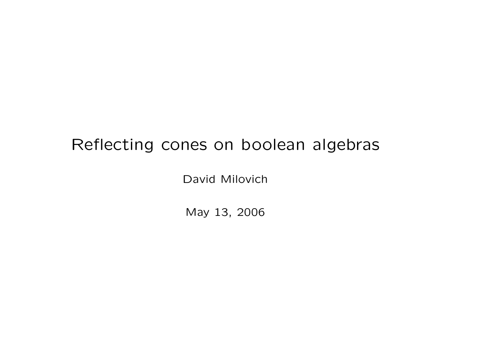## Reflecting cones on boolean algebras

David Milovich

May 13, 2006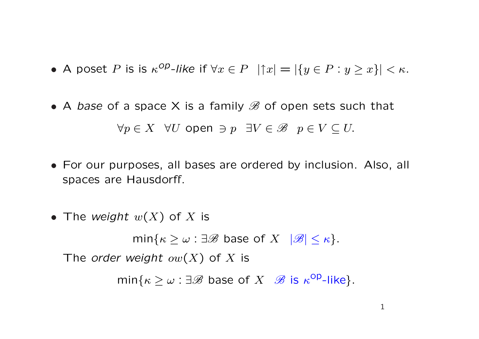- A poset P is is  $\kappa^{op}$ -like if  $\forall x \in P$   $|{\uparrow}x| = |\{y \in P : y \geq x\}| < \kappa$ .
- A base of a space X is a family  $\mathscr B$  of open sets such that

 $\forall p \in X \quad \forall U \text{ open } \ni p \quad \exists V \in \mathscr{B} \quad p \in V \subseteq U.$ 

- For our purposes, all bases are ordered by inclusion. Also, all spaces are Hausdorff.
- The weight  $w(X)$  of X is

 $\min\{\kappa \geq \omega : \exists \mathscr{B} \text{ base of } X \mid \mathscr{B} \leq \kappa\}.$ 

The order weight  $ow(X)$  of X is

 $min\{\kappa \geq \omega : \exists \mathcal{B}$  base of  $X \mathcal{B}$  is  $\kappa^{op}-like\}.$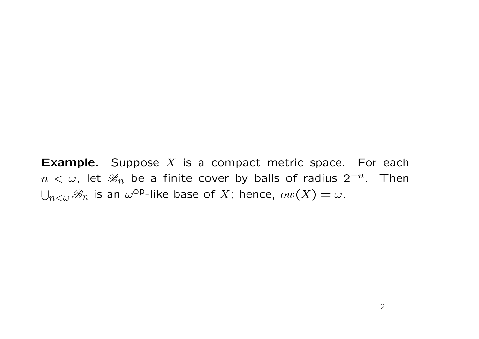**Example.** Suppose  $X$  is a compact metric space. For each  $n < \omega$ , let  $\mathscr{B}_n$  be a finite cover by balls of radius  $2^{-n}$ . Then  $\overline{\mathbf{S}}$  $_{n<\omega}\mathscr{B}_n$  is an  $\omega^\mathsf{op}\text{-like}$  base of  $X;$  hence,  $ow(X)=\omega.$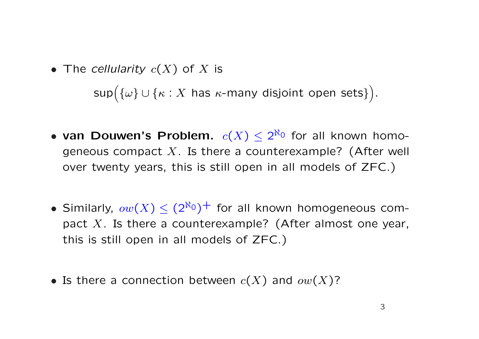• The cellularity  $c(X)$  of X is

 $\sup\bigl(\{\omega\}\cup\{\kappa:X\text{ has }\kappa\text{-many disjoint open sets}\}\bigr)$ ´ .

- van Douwen's Problem.  $c(X) \leq 2^{\aleph_0}$  for all known homogeneous compact  $X$ . Is there a counterexample? (After well over twenty years, this is still open in all models of ZFC.)
- Similarly,  $ow(X)$   $\leq (2^{\aleph_0})^+$  for all known homogeneous compact  $X$ . Is there a counterexample? (After almost one year, this is still open in all models of ZFC.)
- Is there a connection between  $c(X)$  and  $ow(X)$ ?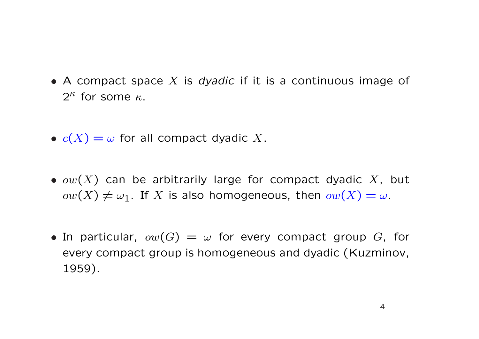- A compact space  $X$  is dyadic if it is a continuous image of  $2^{\kappa}$  for some  $\kappa$ .
- $c(X) = \omega$  for all compact dyadic X.
- $\bullet$   $ow(X)$  can be arbitrarily large for compact dyadic X, but  $ow(X) \neq \omega_1$ . If X is also homogeneous, then  $ow(X) = \omega$ .
- In particular,  $ow(G) = w$  for every compact group G, for every compact group is homogeneous and dyadic (Kuzminov, 1959).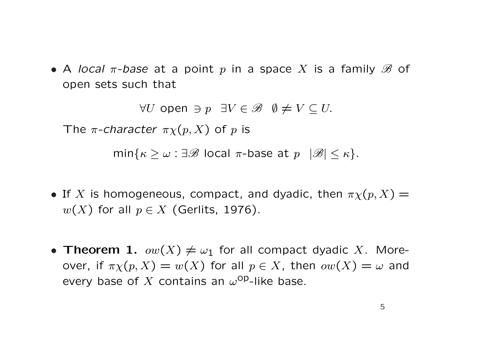• A local  $\pi$ -base at a point p in a space X is a family  $\mathscr B$  of open sets such that

 $\forall U$  open  $\ni p \exists V \in \mathscr{B} \quad \emptyset \neq V \subseteq U$ .

The  $\pi$ -character  $\pi \chi(p, X)$  of p is

 $\min\{\kappa \geq \omega : \exists \mathscr{B} \text{ local } \pi\text{-base at } p \quad |\mathscr{B}| \leq \kappa\}.$ 

- If X is homogeneous, compact, and dyadic, then  $\pi \chi(p, X) =$  $w(X)$  for all  $p \in X$  (Gerlits, 1976).
- Theorem 1.  $ow(X) \neq w_1$  for all compact dyadic X. Moreover, if  $\pi \chi(p, X) = w(X)$  for all  $p \in X$ , then  $ow(X) = \omega$  and every base of X contains an  $\omega^{\text{op}}$ -like base.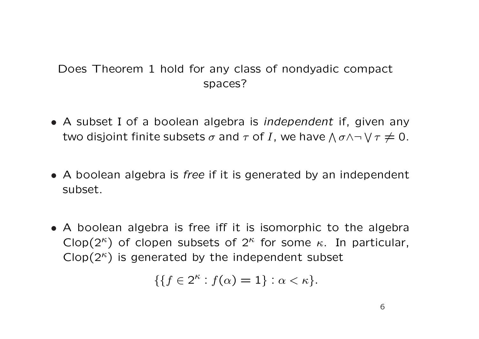## Does Theorem 1 hold for any class of nondyadic compact spaces?

- A subset I of a boolean algebra is independent if, given any two disjoint finite subsets  $\sigma$  and  $\tau$  of I, we have  $\wedge \sigma \wedge \neg \vee \tau \neq 0$ .
- A boolean algebra is free if it is generated by an independent subset.
- A boolean algebra is free iff it is isomorphic to the algebra Clop( $2^{\kappa}$ ) of clopen subsets of  $2^{\kappa}$  for some  $\kappa$ . In particular,  $Clop(2^{\kappa})$  is generated by the independent subset

$$
\{\{f\in 2^{\kappa}: f(\alpha)=1\}:\alpha<\kappa\}.
$$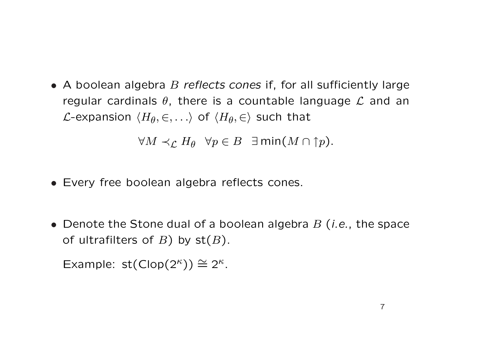$\bullet$  A boolean algebra  $B$  reflects cones if, for all sufficiently large regular cardinals  $\theta$ , there is a countable language  $\mathcal L$  and an  $\mathcal{L}\text{-expansion }\langle H_\theta,\in,\ldots\rangle$  of  $\langle H_\theta,\in\rangle$  such that

 $\forall M \prec_{\mathcal{L}} H_{\theta} \quad \forall p \in B \quad \exists \min(M \cap \uparrow p).$ 

- Every free boolean algebra reflects cones.
- Denote the Stone dual of a boolean algebra  $B$  (*i.e.*, the space of ultrafilters of  $B$ ) by st $(B)$ .

Example:  $st(Clop(2^{\kappa})) \cong 2^{\kappa}$ .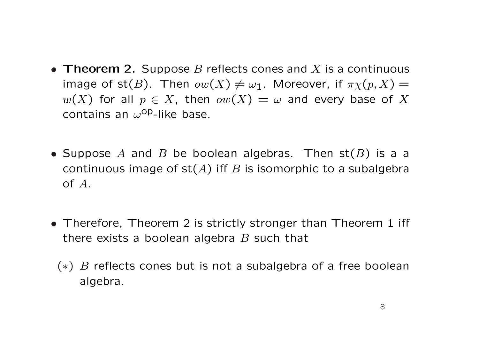- Theorem 2. Suppose B reflects cones and X is a continuous image of st(B). Then  $ow(X) \neq \omega_1$ . Moreover, if  $\pi \chi(p, X) =$  $w(X)$  for all  $p \in X$ , then  $ow(X) = \omega$  and every base of X contains an  $\omega^{\text{op}}$ -like base.
- Suppose A and B be boolean algebras. Then  $st(B)$  is a a continuous image of  $st(A)$  iff B is isomorphic to a subalgebra of A.
- Therefore, Theorem 2 is strictly stronger than Theorem 1 iff there exists a boolean algebra  $B$  such that
	- $(*)$  B reflects cones but is not a subalgebra of a free boolean algebra.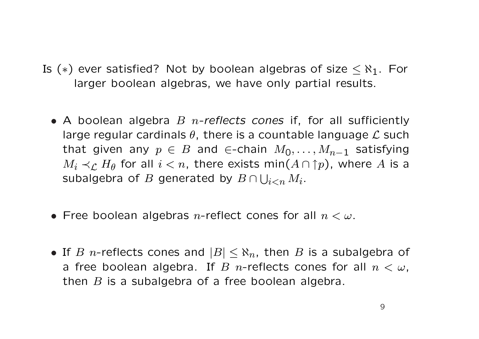- Is (\*) ever satisfied? Not by boolean algebras of size  $\leq \aleph_1$ . For larger boolean algebras, we have only partial results.
	- A boolean algebra B *n-reflects cones* if, for all sufficiently large regular cardinals  $\theta$ , there is a countable language  $\mathcal L$  such that given any  $p \in B$  and ∈-chain  $M_0, \ldots, M_{n-1}$  satisfying  $M_i\prec_{\mathcal{L}} H_\theta$  for all  $i< n,$  there exists  $\mathsf{min}(A\cap \mathcal{p})$ , where  $A$  is a subalgebra of  $B$  generated by  $B\cap \bigcup_{i< n}M_i.$  $\frac{1}{2}$
	- Free boolean algebras *n*-reflect cones for all  $n < \omega$ .
	- If B n-reflects cones and  $|B| \leq \aleph_n$ , then B is a subalgebra of a free boolean algebra. If B n-reflects cones for all  $n < \omega$ , then  $B$  is a subalgebra of a free boolean algebra.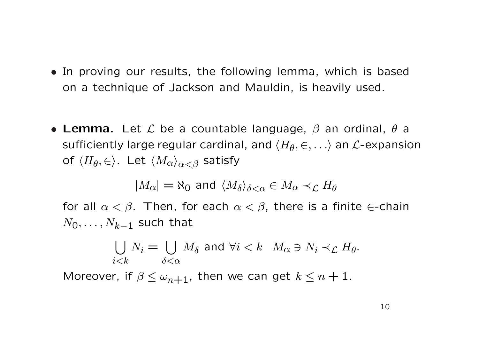- In proving our results, the following lemma, which is based on a technique of Jackson and Mauldin, is heavily used.
- Lemma. Let  $\mathcal L$  be a countable language,  $\beta$  an ordinal,  $\theta$  a sufficiently large regular cardinal, and  $\langle H_\theta, \in, \ldots \rangle$  an  $\mathcal L$ -expansion of  $\langle H_\theta,\in\rangle$ . Let  $\langle M_\alpha\rangle_{\alpha<\beta}$  satisfy

$$
|M_{\alpha}| = \aleph_0 \text{ and } \langle M_{\delta} \rangle_{\delta < \alpha} \in M_{\alpha} \prec_{\mathcal{L}} H_{\theta}
$$

for all  $\alpha < \beta$ . Then, for each  $\alpha < \beta$ , there is a finite  $\in$ -chain  $N_0, \ldots, N_{k-1}$  such that

$$
\bigcup_{i < k} N_i = \bigcup_{\delta < \alpha} M_\delta \text{ and } \forall i < k \quad M_\alpha \ni N_i \prec_{\mathcal{L}} H_\theta.
$$

Moreover, if  $\beta \leq \omega_{n+1}$ , then we can get  $k \leq n+1$ .